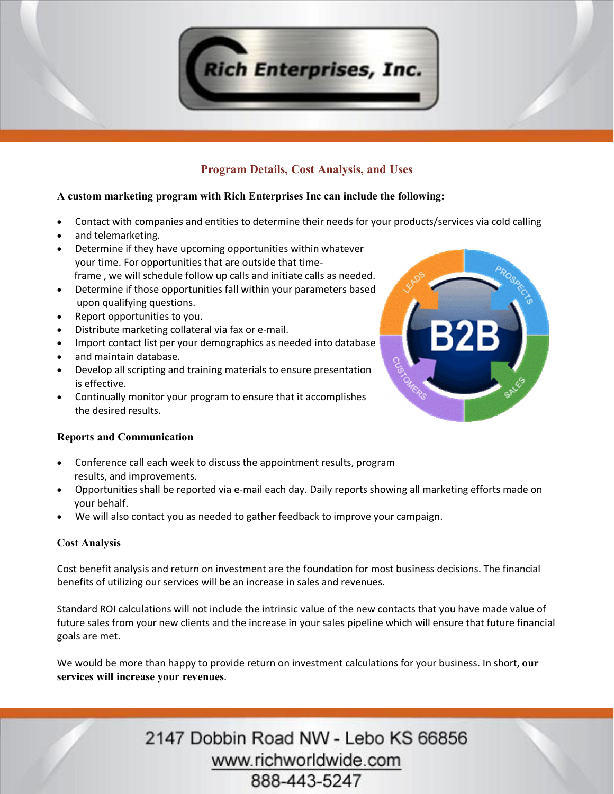

# **Program Details, Cost Analysis, and Uses**

#### **A custom marketing program with Rich Enterprises Inc can include the following:**

- · Contact with companies and entities to determine their needs for your products/services via cold calling
- and telemarketing.
- · Determine if they have upcoming opportunities within whatever your time. For opportunities that are outside that time frame , we will schedule follow up calls and initiate calls as needed.
- · Determine if those opportunities fall within your parameters based upon qualifying questions.
- · Report opportunities to you.
- · Distribute marketing collateral via fax or e-mail.
- · Import contact list per your demographics as needed into database
- and maintain database.
- · Develop all scripting and training materials to ensure presentation is effective.
- · Continually monitor your program to ensure that it accomplishes the desired results.

## **Reports and Communication**

- Conference call each week to discuss the appointment results, program results, and improvements.
- · Opportunities shall be reported via e-mail each day. Daily reports showing all marketing efforts made on your behalf.
- · We will also contact you as needed to gather feedback to improve your campaign.

## **Cost Analysis**

Cost benefit analysis and return on investment are the foundation for most business decisions. The financial benefits of utilizing our services will be an increase in sales and revenues.

Standard ROI calculations will not include the intrinsic value of the new contacts that you have made value of future sales from your new clients and the increase in your sales pipeline which will ensure that future financial goals are met.

We would be more than happy to provide return on investment calculations for your business. In short, **our services will increase your revenues**.

> 2147 Dobbin Road NW - Lebo KS 66856 www.richworldwide.com 888-443-5247